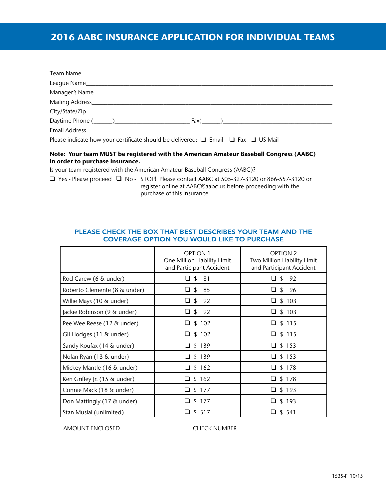# 2016 AABC INSURANCE APPLICATION FOR INDIVIDUAL TEAMS

Please indicate how your certificate should be delivered:  $\Box$  Email  $\Box$  Fax  $\Box$  US Mail

#### Note: Your team MUST be registered with the American Amateur Baseball Congress (AABC) in order to purchase insurance.

Is your team registered with the American Amateur Baseball Congress (AABC)?

q Yes - Please proceed q No - STOP! Please contact AABC at 505-327-3120 or 866-557-3120 or register online at AABC@aabc.us before proceeding with the purchase of this insurance.

|                              | <b>OPTION 1</b><br>One Million Liability Limit<br>and Participant Accident | <b>OPTION 2</b><br>Two Million Liability Limit<br>and Participant Accident |
|------------------------------|----------------------------------------------------------------------------|----------------------------------------------------------------------------|
| Rod Carew (6 & under)        | $\Box$ \$<br>81                                                            | 92<br>\$                                                                   |
| Roberto Clemente (8 & under) | $\Box$ \$<br>85                                                            | ❏ \$<br>96                                                                 |
| Willie Mays (10 & under)     | $\Box$ \$<br>92                                                            | $\Box$ \$ 103                                                              |
| Jackie Robinson (9 & under)  | $\Box$ \$<br>92                                                            | $\Box$ \$ 103                                                              |
| Pee Wee Reese (12 & under)   | $\Box$ \$ 102                                                              | $\Box$ \$ 115                                                              |
| Gil Hodges (11 & under)      | \$102<br>□                                                                 | \$115                                                                      |
| Sandy Koufax (14 & under)    | $\Box$ \$ 139                                                              | $\Box$ \$ 153                                                              |
| Nolan Ryan (13 & under)      | \$139                                                                      | $\square$ \$ 153                                                           |
| Mickey Mantle (16 & under)   | $\Box$ \$ 162                                                              | $\Box$ \$ 178                                                              |
| Ken Griffey Jr. (15 & under) | \$162                                                                      | \$178                                                                      |
| Connie Mack (18 & under)     | \$177                                                                      | \$193                                                                      |
| Don Mattingly (17 & under)   | \$177                                                                      | $\Box$ \$ 193                                                              |
| Stan Musial (unlimited)      | \$ 517<br>ப                                                                | $\Box$ \$ 541                                                              |
| AMOUNT ENCLOSED              | <b>CHECK NUMBER</b>                                                        |                                                                            |

### PLEASE CHECK THE BOX THAT BEST DESCRIBES YOUR TEAM AND THE **COVERAGE OPTION YOU WOULD LIKE TO PURCHASE**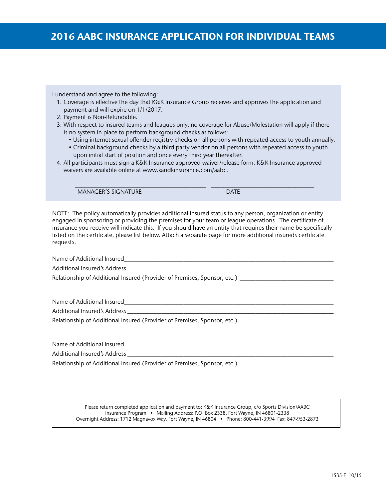I understand and agree to the following:

- 1. Coverage is effective the day that K&K Insurance Group receives and approves the application and payment and will expire on 1/1/2017.
- 2. Payment is Non-Refundable.
- 3. With respect to insured teams and leagues only, no coverage for Abuse/Molestation will apply if there is no system in place to perform background checks as follows:
	- Using internet sexual offender registry checks on all persons with repeated access to youth annually.
	- Criminal background checks by a third party vendor on all persons with repeated access to youth upon initial start of position and once every third year thereafter.
- 4. All participants must sign a K&K Insurance approved waiver/release form. K&K Insurance approved waivers are available online at www.kandkinsurance.com/aabc.

\_\_\_\_\_\_\_\_\_\_\_\_\_\_\_\_\_\_\_\_\_\_\_\_\_\_\_\_\_\_\_\_\_\_\_\_\_\_\_\_\_\_ \_\_\_\_\_\_\_\_\_\_\_\_\_\_\_\_\_\_\_\_\_\_\_\_\_\_\_\_\_\_\_\_\_

MANAGER'S SIGNATURE DATE DATE

NOTE: The policy automatically provides additional insured status to any person, organization or entity engaged in sponsoring or providing the premises for your team or league operations. The certificate of insurance you receive will indicate this. If you should have an entity that requires their name be specifically listed on the certificate, please list below. Attach a separate page for more additional insureds certificate requests.

Name of Additional Insured

Additional Insured's Address

Relationship of Additional Insured (Provider of Premises, Sponsor, etc.) \_\_\_\_\_\_\_\_\_

Name of Additional Insured\_\_\_\_\_\_\_\_\_\_\_\_\_\_\_\_\_\_\_\_\_\_\_\_\_\_\_\_\_\_\_\_\_\_\_\_\_\_\_\_\_\_\_\_\_\_\_\_\_\_\_\_\_\_\_\_\_\_\_\_\_\_\_\_\_\_\_

Additional Insured's Address

Relationship of Additional Insured (Provider of Premises, Sponsor, etc.)

Name of Additional Insured\_\_\_\_\_\_\_\_\_\_\_\_\_\_\_\_\_\_\_\_\_\_\_\_\_\_\_\_\_\_\_\_\_\_\_\_\_\_\_\_\_\_\_\_\_\_\_\_\_\_\_\_\_\_\_\_\_\_\_\_\_\_\_\_\_\_\_

Additional Insured's Address \_\_\_\_\_\_\_\_\_\_\_\_\_\_\_\_\_\_\_\_\_\_\_\_\_\_\_\_\_\_\_\_\_\_\_\_\_\_\_\_\_\_\_\_\_\_\_\_\_\_\_\_\_\_\_\_\_\_\_\_\_\_\_\_\_\_

Relationship of Additional Insured (Provider of Premises, Sponsor, etc.) \_\_\_\_\_\_\_\_\_\_\_\_\_\_\_\_\_\_\_\_\_\_\_\_\_\_

Please return completed application and payment to: K&K Insurance Group, c/o Sports Division/AABC Insurance Program • Mailing Address: P.O. Box 2338, Fort Wayne, IN 46801-2338 Overnight Address: 1712 Magnavox Way, Fort Wayne, IN 46804 • Phone: 800-441-3994 Fax: 847-953-2873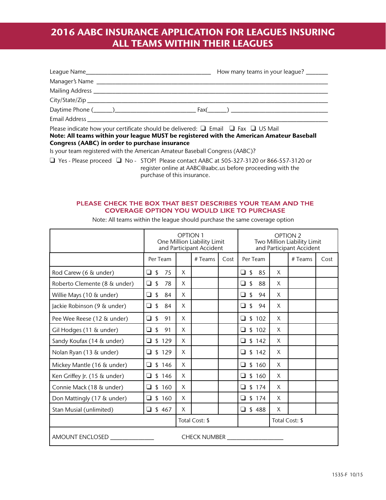# 2016 AABC INSURANCE APPLICATION FOR LEAGUES INSURING ALL TEAMS WITHIN THEIR LEAGUES

|                                                                                                      | How many teams in your league? ______ |
|------------------------------------------------------------------------------------------------------|---------------------------------------|
|                                                                                                      |                                       |
|                                                                                                      |                                       |
|                                                                                                      |                                       |
|                                                                                                      |                                       |
|                                                                                                      |                                       |
| Please indicate how your certificate should be delivered: $\Box$ Email $\Box$ Fax $\Box$ US Mail     |                                       |
| Note: All teams within your league MUST be registered with the American Amateur Baseball             |                                       |
| Congress (AABC) in order to purchase insurance                                                       |                                       |
| Is your team registered with the American Amateur Baseball Congress (AABC)?                          |                                       |
| $\Box$ Yes - Please proceed $\Box$ No - STOP! Please contact AABC at 505-327-3120 or 866-557-3120 or |                                       |

register online at AABC@aabc.us before proceeding with the purchase of this insurance.

## PLEASE CHECK THE BOX THAT BEST DESCRIBES YOUR TEAM AND THE **COVERAGE OPTION YOU WOULD LIKE TO PURCHASE**

|                                                              | <b>OPTION 1</b><br>One Million Liability Limit<br>and Participant Accident |              |         | <b>OPTION 2</b><br>Two Million Liability Limit<br>and Participant Accident |                                |                |         |      |
|--------------------------------------------------------------|----------------------------------------------------------------------------|--------------|---------|----------------------------------------------------------------------------|--------------------------------|----------------|---------|------|
|                                                              | Per Team                                                                   |              | # Teams | Cost                                                                       | Per Team                       |                | # Teams | Cost |
| Rod Carew (6 & under)                                        | $\Box$ \$<br>75                                                            | $\mathsf{X}$ |         |                                                                            | $\Box$ \$<br>85                | X              |         |      |
| Roberto Clemente (8 & under)                                 | $\Box$ \$<br>78                                                            | X            |         |                                                                            | ❏ \$<br>88                     | X              |         |      |
| Willie Mays (10 & under)                                     | $\Box$ \$<br>84                                                            | X            |         |                                                                            | $\sqrt{2}$<br>$\Box$<br>94     | X              |         |      |
| Jackie Robinson (9 & under)                                  | $\Box$ s<br>84                                                             | X            |         |                                                                            | $\Box$<br>$\mathfrak{L}$<br>94 | X              |         |      |
| Pee Wee Reese (12 & under)                                   | $\Box$ \$<br>91                                                            | X            |         |                                                                            | $\Box$<br>\$102                | X              |         |      |
| Gil Hodges (11 & under)                                      | $\Box$ \$<br>91                                                            | X            |         |                                                                            | $\Box$ \$ 102                  | X              |         |      |
| Sandy Koufax (14 & under)                                    | $\Box$ \$ 129                                                              | X            |         |                                                                            | $\Box$ \$ 142                  | X              |         |      |
| Nolan Ryan (13 & under)                                      | $\Box$ \$ 129                                                              | X            |         |                                                                            | $\Box$<br>\$142                | X              |         |      |
| Mickey Mantle (16 & under)                                   | $\Box$ \$ 146                                                              | X            |         |                                                                            | $\Box$ \$ 160                  | X              |         |      |
| Ken Griffey Jr. (15 & under)                                 | $\Box$ \$ 146                                                              | X            |         |                                                                            | \$160<br>$\Box$                | X              |         |      |
| Connie Mack (18 & under)                                     | $\Box$ \$ 160                                                              | $\times$     |         |                                                                            | \$174<br>□                     | X              |         |      |
| Don Mattingly (17 & under)                                   | $\Box$ \$ 160                                                              | X            |         |                                                                            | $\Box$<br>\$174                | X              |         |      |
| Stan Musial (unlimited)                                      | $\Box$ \$467                                                               | X            |         |                                                                            | $\Box$ \$488                   | X              |         |      |
|                                                              | Total Cost: \$                                                             |              |         |                                                                            |                                | Total Cost: \$ |         |      |
| AMOUNT ENCLOSED<br>CHECK NUMBER <b>NAME OF STREET ASSESS</b> |                                                                            |              |         |                                                                            |                                |                |         |      |

Note: All teams within the league should purchase the same coverage option